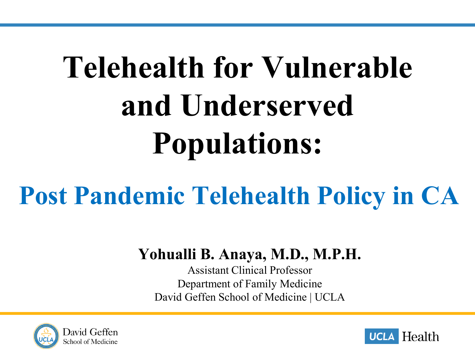# **Telehealth for Vulnerable and Underserved Populations:**

## **Post Pandemic Telehealth Policy in CA**

#### **Yohualli B. Anaya, M.D., M.P.H.**

Assistant Clinical Professor Department of Family Medicine David Geffen School of Medicine | UCLA



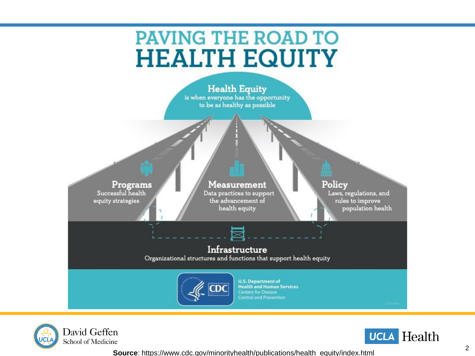### **PAVING THE ROAD TO HEALTH EQUITY**







**Source**: https://www.cdc.gov/minorityhealth/publications/health\_equity/index.html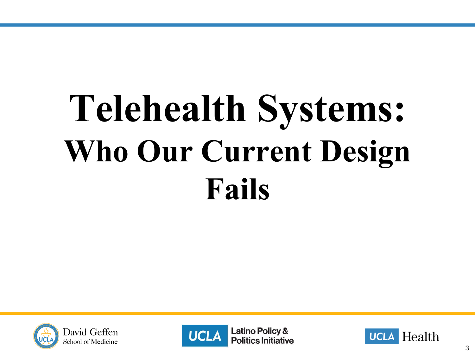# **Telehealth Systems: Who Our Current Design Fails**





**Latino Policy & Politics Initiative** 

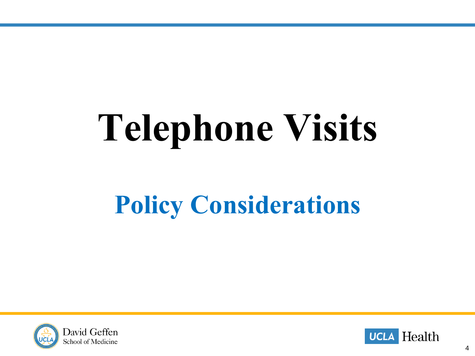# **Telephone Visits**

## **Policy Considerations**



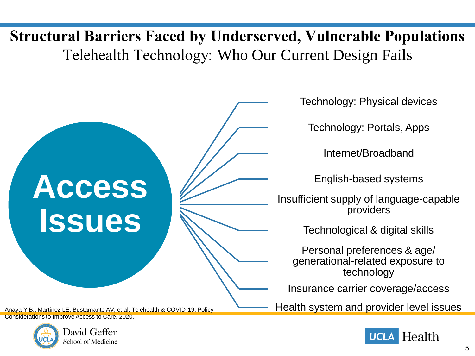### **Structural Barriers Faced by Underserved, Vulnerable Populations** Telehealth Technology: Who Our Current Design Fails



Anaya Y.B., Martinez LE, Bustamante AV, et al. Telehealth & COVID-19: Policy Considerations to Improve Access to Care. 2020.



Technology: Physical devices

Technology: Portals, Apps

Internet/Broadband

English-based systems

Insufficient supply of language-capable providers

Technological & digital skills

Personal preferences & age/ generational-related exposure to technology

Insurance carrier coverage/access

Health system and provider level issues

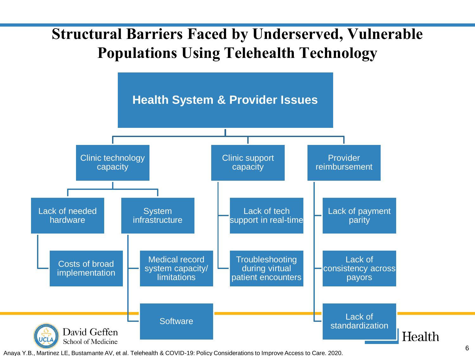### **Structural Barriers Faced by Underserved, Vulnerable Populations Using Telehealth Technology**



Anaya Y.B., Martinez LE, Bustamante AV, et al. Telehealth & COVID-19: Policy Considerations to Improve Access to Care. 2020.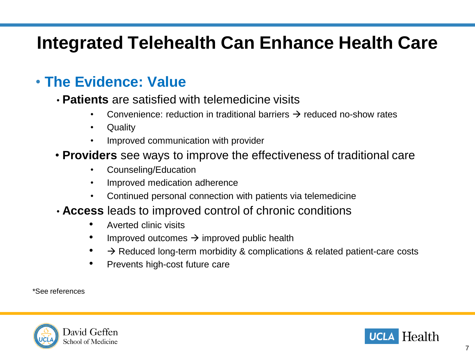### **Integrated Telehealth Can Enhance Health Care**

#### • **The Evidence: Value**

- **Patients** are satisfied with telemedicine visits
	- Convenience: reduction in traditional barriers  $\rightarrow$  reduced no-show rates
	- Quality
	- Improved communication with provider
- **Providers** see ways to improve the effectiveness of traditional care
	- Counseling/Education
	- Improved medication adherence
	- Continued personal connection with patients via telemedicine
- **Access** leads to improved control of chronic conditions
	- Averted clinic visits
	- Improved outcomes  $\rightarrow$  improved public health
	- $\rightarrow$  Reduced long-term morbidity & complications & related patient-care costs
	- Prevents high-cost future care

\*See references



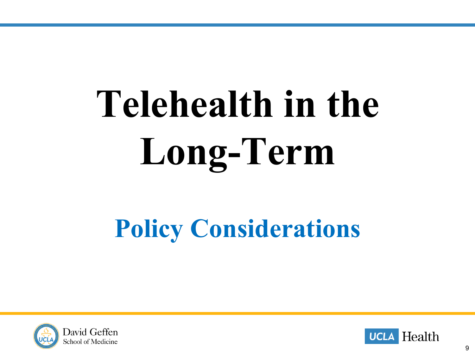# **Telehealth in the Long-Term**

### **Policy Considerations**



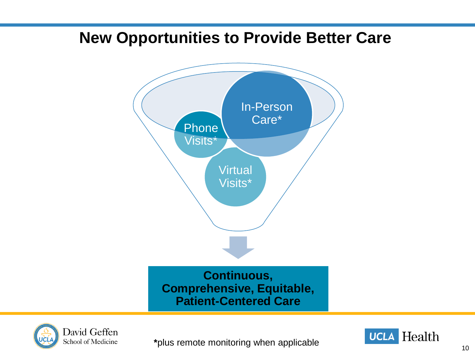### **New Opportunities to Provide Better Care**





**\***plus remote monitoring when applicable

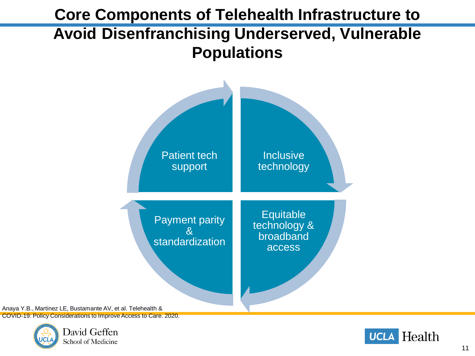### **Core Components of Telehealth Infrastructure to Avoid Disenfranchising Underserved, Vulnerable Populations**



Anaya Y.B., Martinez LE, Bustamante AV, et al. Telehealth & COVID-19: Policy Considerations to Improve Access to Care. 2020.



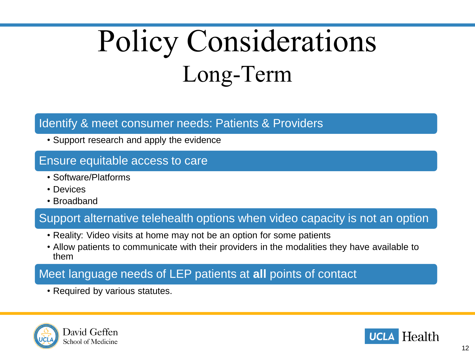## Policy Considerations Long-Term

#### Identify & meet consumer needs: Patients & Providers

• Support research and apply the evidence

#### Ensure equitable access to care

- Software/Platforms
- Devices
- Broadband

#### Support alternative telehealth options when video capacity is not an option

- Reality: Video visits at home may not be an option for some patients
- Allow patients to communicate with their providers in the modalities they have available to them

#### Meet language needs of LEP patients at **all** points of contact

• Required by various statutes.



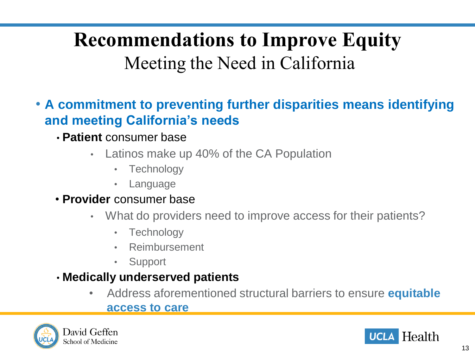### **Recommendations to Improve Equity**  Meeting the Need in California

- **A commitment to preventing further disparities means identifying and meeting California's needs**
	- **Patient** consumer base
		- Latinos make up 40% of the CA Population
			- Technology
			- **Language**
	- **Provider** consumer base
		- What do providers need to improve access for their patients?
			- Technology
			- Reimbursement
			- **Support**
	- **Medically underserved patients**
		- Address aforementioned structural barriers to ensure **equitable access to care**



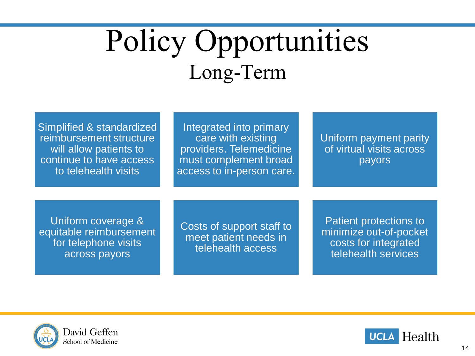## Policy Opportunities Long-Term

Simplified & standardized reimbursement structure will allow patients to continue to have access to telehealth visits

Integrated into primary care with existing providers. Telemedicine must complement broad access to in-person care.

Uniform payment parity of virtual visits across payors

Uniform coverage & equitable reimbursement for telephone visits across payors

Costs of support staff to meet patient needs in telehealth access

Patient protections to minimize out-of-pocket costs for integrated telehealth services



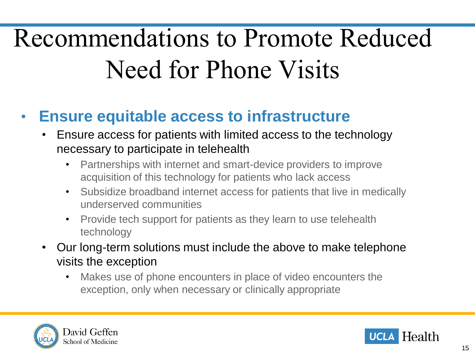## Recommendations to Promote Reduced Need for Phone Visits

### • **Ensure equitable access to infrastructure**

- Ensure access for patients with limited access to the technology necessary to participate in telehealth
	- Partnerships with internet and smart-device providers to improve acquisition of this technology for patients who lack access
	- Subsidize broadband internet access for patients that live in medically underserved communities
	- Provide tech support for patients as they learn to use telehealth technology
- Our long-term solutions must include the above to make telephone visits the exception
	- Makes use of phone encounters in place of video encounters the exception, only when necessary or clinically appropriate



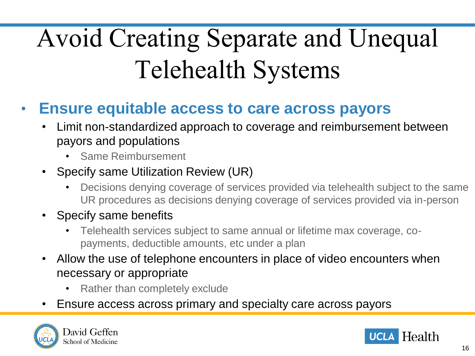## Avoid Creating Separate and Unequal Telehealth Systems

- **Ensure equitable access to care across payors**
	- Limit non-standardized approach to coverage and reimbursement between payors and populations
		- Same Reimbursement
	- Specify same Utilization Review (UR)
		- Decisions denying coverage of services provided via telehealth subject to the same UR procedures as decisions denying coverage of services provided via in-person
	- Specify same benefits
		- Telehealth services subject to same annual or lifetime max coverage, copayments, deductible amounts, etc under a plan
	- Allow the use of telephone encounters in place of video encounters when necessary or appropriate
		- Rather than completely exclude
	- Ensure access across primary and specialty care across payors



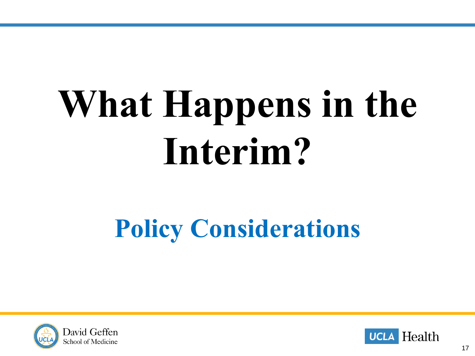# **What Happens in the Interim?**

## **Policy Considerations**



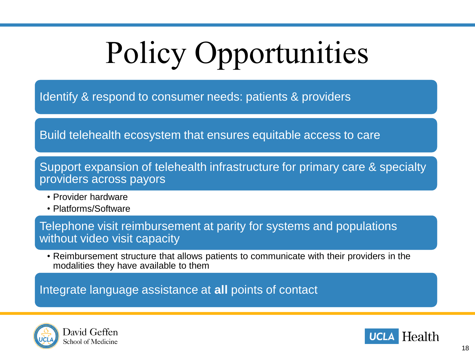# Policy Opportunities

Identify & respond to consumer needs: patients & providers

Build telehealth ecosystem that ensures equitable access to care

Support expansion of telehealth infrastructure for primary care & specialty providers across payors

- Provider hardware
- Platforms/Software

Telephone visit reimbursement at parity for systems and populations without video visit capacity

• Reimbursement structure that allows patients to communicate with their providers in the modalities they have available to them

Integrate language assistance at **all** points of contact



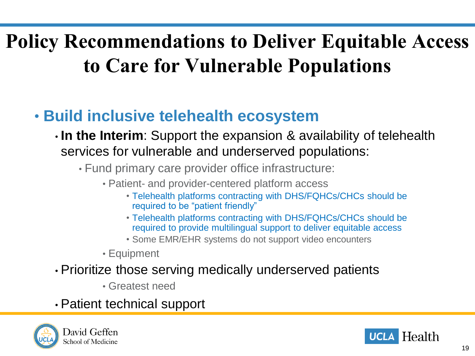### **Policy Recommendations to Deliver Equitable Access to Care for Vulnerable Populations**

### • **Build inclusive telehealth ecosystem**

- **In the Interim**: Support the expansion & availability of telehealth services for vulnerable and underserved populations:
	- Fund primary care provider office infrastructure:
		- Patient- and provider-centered platform access
			- Telehealth platforms contracting with DHS/FQHCs/CHCs should be required to be "patient friendly"
			- Telehealth platforms contracting with DHS/FQHCs/CHCs should be required to provide multilingual support to deliver equitable access
			- Some EMR/EHR systems do not support video encounters
		- Equipment

#### • Prioritize those serving medically underserved patients

• Greatest need

#### • Patient technical support



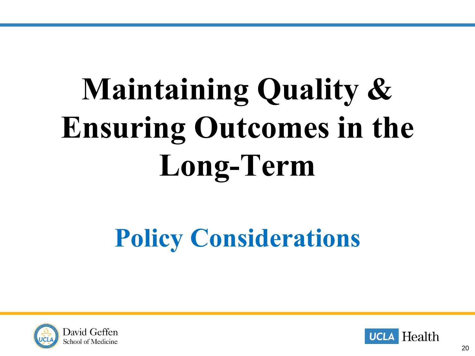# **Maintaining Quality & Ensuring Outcomes in the Long-Term**

## **Policy Considerations**



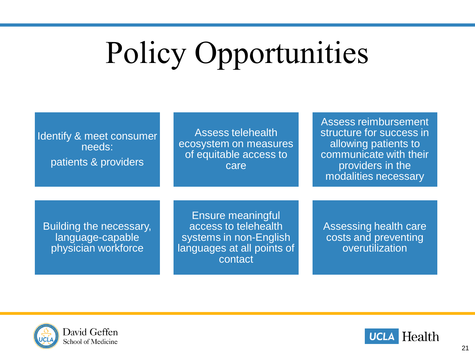## Policy Opportunities

| Identify & meet consumer<br>needs:<br>patients & providers                | Assess telehealth<br>ecosystem on measures<br>of equitable access to<br>care,                                       | Assess reimbursement<br>structure for success in<br>allowing patients to<br>communicate with their<br>providers in the<br>modalities necessary |
|---------------------------------------------------------------------------|---------------------------------------------------------------------------------------------------------------------|------------------------------------------------------------------------------------------------------------------------------------------------|
| <b>Building the necessary,</b><br>language-capable<br>physician workforce | <b>Ensure meaningful</b><br>access to telehealth<br>systems in non-English<br>languages at all points of<br>contact | Assessing health care<br>costs and preventing<br>overutilization                                                                               |



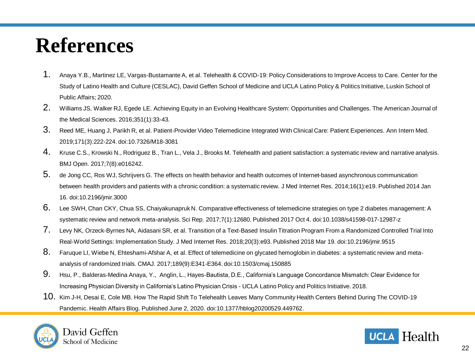### **References**

- 1. Anaya Y.B., Martinez LE, Vargas-Bustamante A, et al. Telehealth & COVID-19: Policy Considerations to Improve Access to Care. Center for the Study of Latino Health and Culture (CESLAC), David Geffen School of Medicine and UCLA Latino Policy & Politics Initiative, Luskin School of Public Affairs; 2020.
- 2. Williams JS, Walker RJ, Egede LE. Achieving Equity in an Evolving Healthcare System: Opportunities and Challenges. The American Journal of the Medical Sciences. 2016;351(1):33-43.
- 3. Reed ME, Huang J, Parikh R, et al. Patient-Provider Video Telemedicine Integrated With Clinical Care: Patient Experiences. Ann Intern Med. 2019;171(3):222-224. doi:10.7326/M18-3081
- 4. Kruse C.S., Krowski N., Rodriguez B., Tran L., Vela J., Brooks M. Telehealth and patient satisfaction: a systematic review and narrative analysis. BMJ Open. 2017;7(8):e016242.
- 5. de Jong CC, Ros WJ, Schrijvers G. The effects on health behavior and health outcomes of Internet-based asynchronous communication between health providers and patients with a chronic condition: a systematic review. J Med Internet Res. 2014;16(1):e19. Published 2014 Jan 16. doi:10.2196/jmir.3000
- 6. Lee SWH, Chan CKY, Chua SS, Chaiyakunapruk N. Comparative effectiveness of telemedicine strategies on type 2 diabetes management: A systematic review and network meta-analysis. Sci Rep. 2017;7(1):12680. Published 2017 Oct 4. doi:10.1038/s41598-017-12987-z
- 7. Levy NK, Orzeck-Byrnes NA, Aidasani SR, et al. Transition of a Text-Based Insulin Titration Program From a Randomized Controlled Trial Into Real-World Settings: Implementation Study. J Med Internet Res. 2018;20(3):e93. Published 2018 Mar 19. doi:10.2196/jmir.9515
- 8. Faruque LI, Wiebe N, Ehteshami-Afshar A, et al. Effect of telemedicine on glycated hemoglobin in diabetes: a systematic review and metaanalysis of randomized trials. CMAJ. 2017;189(9):E341-E364. doi:10.1503/cmaj.150885
- 9. Hsu, P., Balderas-Medina Anaya, Y., Anglin, L., Hayes-Bautista, D.E., California's Language Concordance Mismatch: Clear Evidence for Increasing Physician Diversity in California's Latino Physician Crisis - UCLA Latino Policy and Politics Initiative. 2018.
- 10. Kim J-H, Desai E, Cole MB. How The Rapid Shift To Telehealth Leaves Many Community Health Centers Behind During The COVID-19 Pandemic. Health Affairs Blog. Published June 2, 2020. doi:10.1377/hblog20200529.449762.



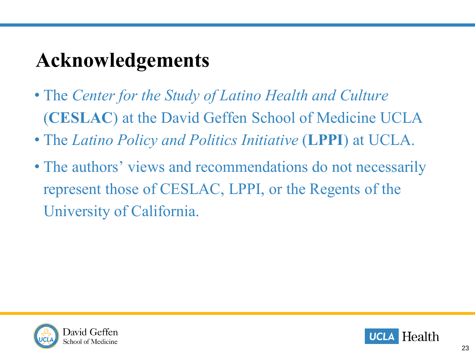### **Acknowledgements**

- The *Center for the Study of Latino Health and Culture* (**CESLAC**) at the David Geffen School of Medicine UCLA
- The *Latino Policy and Politics Initiative* (**LPPI**) at UCLA.
- The authors' views and recommendations do not necessarily represent those of CESLAC, LPPI, or the Regents of the University of California.